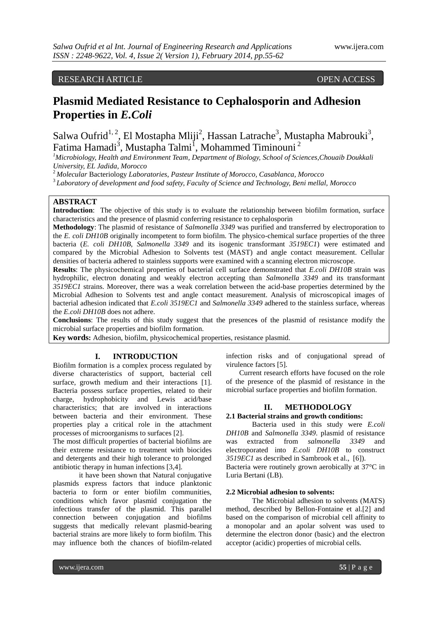# RESEARCH ARTICLE OPEN ACCESS

# **Plasmid Mediated Resistance to Cephalosporin and Adhesion Properties in** *E.Coli*

Salwa Oufrid<sup>1, 2</sup>, El Mostapha Mliji<sup>2</sup>, Hassan Latrache<sup>3</sup>, Mustapha Mabrouki<sup>3</sup>, Fatima Hamadi<sup>3</sup>, Mustapha Talmi<sup>1</sup>, Mohammed Timinouni<sup>2</sup>

*<sup>1</sup>Microbiology, Health and Environment Team, Department of Biology, School of Sciences,Chouaib Doukkali University, EL Jadida, Morocco*

<sup>2</sup>*Molecular* Bacteriology *Laboratories*, *Pasteur Institute of Morocco, Casablanca, Morocco*

<sup>3</sup>*Laboratory of development and food safety, Faculty of Science and Technology, Beni mellal, Morocco*

# **ABSTRACT**

**Introduction**: The objective of this study is to evaluate the relationship between biofilm formation, surface characteristics and the presence of plasmid conferring resistance to cephalosporin

**Methodology**: The plasmid of resistance of *Salmonella 3349* was purified and transferred by electroporation to the *E. coli DH10B* originally incompetent to form biofilm. The physico-chemical surface properties of the three bacteria (*E. coli DH10B, Salmonella 3349* and its isogenic transformant *3519EC1*) were estimated and compared by the Microbial Adhesion to Solvents test (MAST) and angle contact measurement. Cellular densities of bacteria adhered to stainless supports were examined with a scanning electron microscope.

**Results**: The physicochemical properties of bacterial cell surface demonstrated that *E.coli DH10B* strain was hydrophilic, electron donating and weakly electron accepting than *Salmonella 3349* and its transformant *3519EC1* strains. Moreover, there was a weak correlation between the acid-base properties determined by the Microbial Adhesion to Solvents test and angle contact measurement. Analysis of microscopical images of bacterial adhesion indicated that *E.coli 3519EC1* and *Salmonella 3349* adhered to the stainless surface, whereas the *E.coli DH10B* does not adhere.

**Conclusions**: The results of this study suggest that the presences of the plasmid of resistance modify the microbial surface properties and biofilm formation.

**Key words:** Adhesion, biofilm, physicochemical properties, resistance plasmid.

#### **I. INTRODUCTION**

Biofilm formation is a complex process regulated by diverse characteristics of support, bacterial cell surface, growth medium and their interactions [1]. Bacteria possess surface properties, related to their charge, hydrophobicity and Lewis acid/base characteristics; that are involved in interactions between bacteria and their environment. These properties play a critical role in the attachment processes of microorganisms to surfaces [2].

The most difficult properties of bacterial biofilms are their extreme resistance to treatment with biocides and detergents and their high tolerance to prolonged antibiotic therapy in human infections [3,4].

it have been shown that Natural conjugative plasmids express factors that induce planktonic bacteria to form or enter biofilm communities, conditions which favor plasmid conjugation the infectious transfer of the plasmid. This parallel connection between conjugation and biofilms suggests that medically relevant plasmid-bearing bacterial strains are more likely to form biofilm. This may influence both the chances of biofilm-related infection risks and of conjugational spread of virulence factors [5].

Current research efforts have focused on the role of the presence of the plasmid of resistance in the microbial surface properties and biofilm formation.

#### **II. METHODOLOGY**

# **2.1 Bacterial strains and growth conditions:**

Bacteria used in this study were *E.coli DH10B* and *Salmonella 3349*. plasmid of resistance was extracted from *salmonella 3349* and electroporated into *E.coli DH10B* to construct *3519EC1* as described in Sambrook et al., [6]). Bacteria were routinely grown aerobically at 37°C in Luria Bertani (LB).

#### **2.2 Microbial adhesion to solvents:**

The Microbial adhesion to solvents (MATS) method, described by Bellon-Fontaine et al.[2] and based on the comparison of microbial cell affinity to a monopolar and an apolar solvent was used to determine the electron donor (basic) and the electron acceptor (acidic) properties of microbial cells.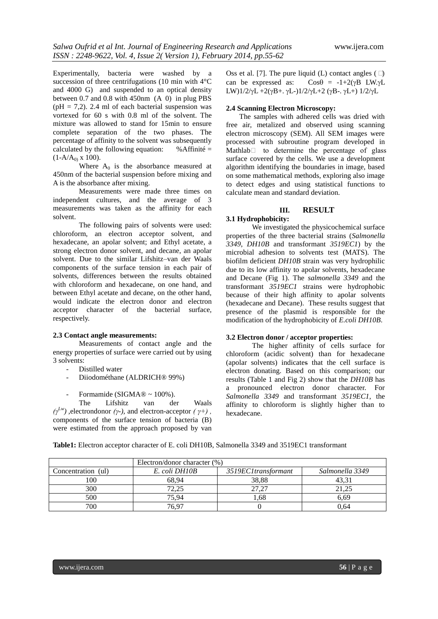Experimentally, bacteria were washed by a succession of three centrifugations (10 min with 4°C and 4000 G) and suspended to an optical density between 0.7 and 0.8 with 450nm (A 0) in plug PBS  $(pH = 7.2)$ . 2.4 ml of each bacterial suspension was vortexed for 60 s with 0.8 ml of the solvent. The mixture was allowed to stand for 15min to ensure complete separation of the two phases. The percentage of affinity to the solvent was subsequently calculated by the following equation:  $%$  % Affinité =  $(1-A/A<sub>0</sub>) \times 100$ .

Where  $A_0$  is the absorbance measured at 450nm of the bacterial suspension before mixing and A is the absorbance after mixing.

Measurements were made three times on independent cultures, and the average of 3 measurements was taken as the affinity for each solvent.

The following pairs of solvents were used: chloroform, an electron acceptor solvent, and hexadecane, an apolar solvent; and Ethyl acetate, a strong electron donor solvent, and decane, an apolar solvent. Due to the similar Lifshitz–van der Waals components of the surface tension in each pair of solvents, differences between the results obtained with chloroform and hexadecane, on one hand, and between Ethyl acetate and decane, on the other hand, would indicate the electron donor and electron acceptor character of the bacterial surface, respectively.

#### **2.3 Contact angle measurements:**

Measurements of contact angle and the energy properties of surface were carried out by using 3 solvents:

- Distilled water
- Diiodométhane (ALDRICH<sup>®</sup> 99%)
- Formamide (SIGMA $\mathbb{R}$  ~ 100%).

The Lifshitz van der Waals *(γ<sup>Lw</sup>*), electrondonor *(γ-)*, and electron-acceptor *(γ+)*, components of the surface tension of bacteria (B) were estimated from the approach proposed by van

Oss et al. [7]. The pure liquid (L) contact angles (□) can be expressed as:  $Cos\theta = -1+2(\gamma B \text{ LW.}\gamma L)$ LW) $1/2/\gamma L + 2(\gamma B + \gamma L - 1)/2/\gamma L + 2$  ( $\gamma B - \gamma L + 1/2/\gamma L$ 

#### **2.4 Scanning Electron Microscopy:**

The samples with adhered cells was dried with free air, metalized and observed using scanning electron microscopy (SEM). All SEM images were processed with subroutine program developed in Mathlab $\Box$  to determine the percentage of glass surface covered by the cells. We use a development algorithm identifying the boundaries in image, based on some mathematical methods, exploring also image to detect edges and using statistical functions to calculate mean and standard deviation.

#### **III. RESULT**

**3.1 Hydrophobicity:** 

We investigated the physicochemical surface properties of the three bacterial strains (*Salmonella 3349*, *DH10B* and transformant *3519EC1*) by the microbial adhesion to solvents test (MATS). The biofilm deficient *DH10B* strain was very hydrophilic due to its low affinity to apolar solvents, hexadecane and Decane (Fig 1). The *salmonella 3349* and the transformant *3519EC1* strains were hydrophobic because of their high affinity to apolar solvents (hexadecane and Decane). These results suggest that presence of the plasmid is responsible for the modification of the hydrophobicity of *E.coli DH10B*.

### **3.2 Electron donor / acceptor properties:**

The higher affinity of cells surface for chloroform (acidic solvent) than for hexadecane (apolar solvents) indicates that the cell surface is electron donating. Based on this comparison; our results (Table 1 and Fig 2) show that the *DH10B* has a pronounced electron donor character. For *Salmonella 3349* and transformant *3519EC1*, the affinity to chloroform is slightly higher than to hexadecane.

**Table1:** Electron acceptor character of E. coli DH10B, Salmonella 3349 and 3519EC1 transformant

|                    | Electron/donor character (%) |                     |                 |  |  |
|--------------------|------------------------------|---------------------|-----------------|--|--|
| Concentration (ul) | E. coli DH10B                | 3519EC1transformant | Salmonella 3349 |  |  |
| 100                | 68.94                        | 38.88               | 43.31           |  |  |
| 300                | 72,25                        | 27.27               | 21.25           |  |  |
| 500                | 75.94                        | .68                 | 6.69            |  |  |
| 700                | 76.97                        |                     | 0.64            |  |  |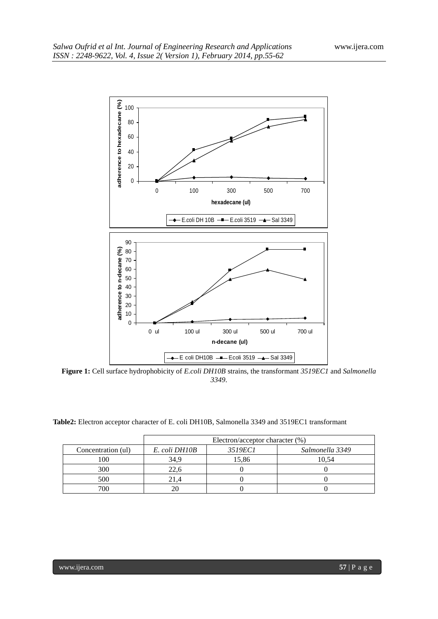

**Figure 1:** Cell surface hydrophobicity of *E.coli DH10B* strains, the transformant *3519EC1* and *Salmonella*  .

| <b>Table2:</b> Electron acceptor character of E. coli DH10B. Salmonella 3349 and 3519EC1 transformant |  |  |
|-------------------------------------------------------------------------------------------------------|--|--|
|-------------------------------------------------------------------------------------------------------|--|--|

|                    | Electron/acceptor character (%) |                |                 |  |  |
|--------------------|---------------------------------|----------------|-----------------|--|--|
| Concentration (ul) | E. coli DH10B                   | <i>3519EC1</i> | Salmonella 3349 |  |  |
| 100                | 34.9                            | 15,86          | 10.54           |  |  |
| 300                | 22.6                            |                |                 |  |  |
| 500                | 21.4                            |                |                 |  |  |
| 700                |                                 |                |                 |  |  |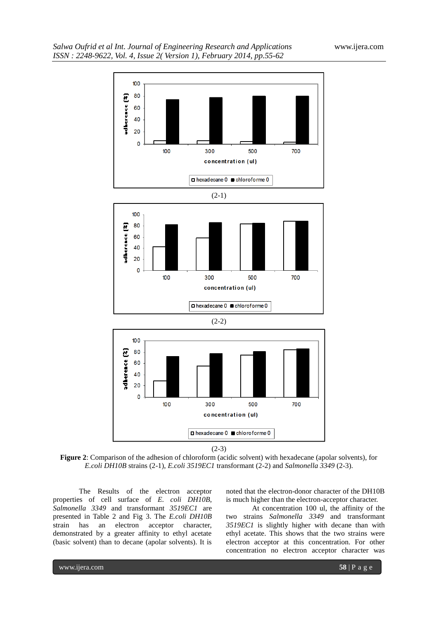

 $(2-3)$ 

**Figure 2**: Comparison of the adhesion of chloroform (acidic solvent) with hexadecane (apolar solvents), for *E.coli DH10B* strains (2-1), *E.coli 3519EC1* transformant (2-2) and *Salmonella 3349* (2-3).

The Results of the electron acceptor properties of cell surface of *E. coli DH10B*, *Salmonella 3349* and transformant *3519EC1* are presented in Table 2 and Fig 3. The *E.coli DH10B* strain has an electron acceptor character, demonstrated by a greater affinity to ethyl acetate (basic solvent) than to decane (apolar solvents). It is

noted that the electron-donor character of the DH10B is much higher than the electron-acceptor character.

At concentration 100 ul, the affinity of the two strains *Salmonella 3349* and transformant *3519EC1* is slightly higher with decane than with ethyl acetate. This shows that the two strains were electron acceptor at this concentration. For other concentration no electron acceptor character was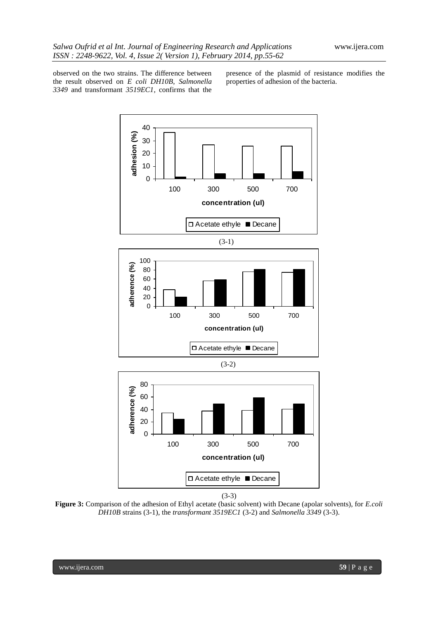observed on the two strains. The difference between the result observed on *E coli DH10B*, *Salmonella 3349* and transformant *3519EC1*, confirms that the

presence of the plasmid of resistance modifies the properties of adhesion of the bacteria.



(3-3)

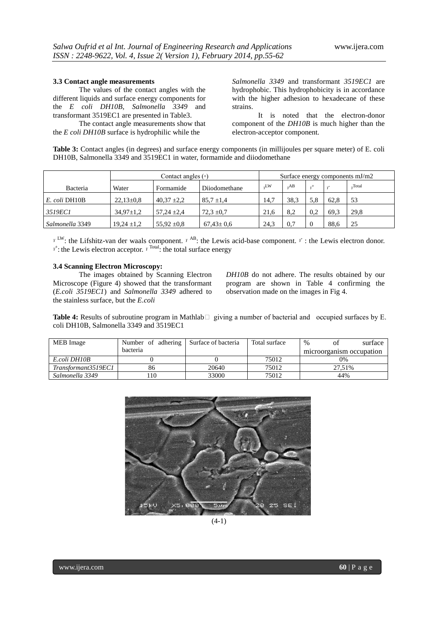#### **3.3 Contact angle measurements**

The values of the contact angles with the different liquids and surface energy components for the *E coli DH10B*, *Salmonella 3349* and transformant 3519EC1 are presented in Table3.

The contact angle measurements show that the *E coli DH10B* surface is hydrophilic while the

*Salmonella 3349* and transformant *3519EC1* are hydrophobic. This hydrophobicity is in accordance with the higher adhesion to hexadecane of these strains.

It is noted that the electron-donor component of the *DH10B* is much higher than the electron-acceptor component.

**Table 3:** Contact angles (in degrees) and surface energy components (in millijoules per square meter) of E. coli DH10B, Salmonella 3349 and 3519EC1 in water, formamide and diiodomethane

|                 | Contact angles $(°)$ |                 | Surface energy components $mJ/m2$ |      |      |     |      |        |
|-----------------|----------------------|-----------------|-----------------------------------|------|------|-----|------|--------|
| Bacteria        | Water                | Formamide       | Diiodomethane                     | ,LW  | AB   |     |      | .Total |
| E. coli DH10B   | $22,13\pm0.8$        | $40.37 \pm 2.2$ | $85.7 \pm 1.4$                    | 14,7 | 38.3 | 5.8 | 62.8 | 53     |
| 3519EC1         | $34.97 \pm 1.2$      | $57.24 \pm 2.4$ | $72.3 \pm 0.7$                    | 21.6 | 8.2  | 0.2 | 69.3 | 29.8   |
| Salmonella 3349 | $19,24 \pm 1,2$      | 55,92 $\pm$ 0.8 | $67.43 \pm 0.6$                   | 24.3 | 0.7  |     | 88.6 | 25     |

*<sup><i>Y*</sup> LW: the Lifshitz-van der waals component. *<sup>Y</sup>* <sup>AB</sup>: the Lewis acid-base component. *<sup>Y</sup>* : the Lewis electron donor. *<sup>r*+</sup>: the Lewis electron acceptor. *<sup>r*</sup> <sup>Total</sup>: the total surface energy

### **3.4 Scanning Electron Microscopy:**

The images obtained by Scanning Electron Microscope (Figure 4) showed that the transformant (*E.coli 3519EC1*) and *Salmonella 3349* adhered to the stainless surface, but the *E.coli* 

*DH10B* do not adhere. The results obtained by our program are shown in Table 4 confirming the observation made on the images in Fig 4.

**Table 4:** Results of subroutine program in Mathlab □ giving a number of bacterial and occupied surfaces by E. coli DH10B, Salmonella 3349 and 3519EC1

| MEB Image           | Number of adhering | Surface of bacteria | Total surface | $\frac{0}{0}$<br>surface |
|---------------------|--------------------|---------------------|---------------|--------------------------|
|                     | <b>bacteria</b>    |                     |               | microorganism occupation |
| E.coli DH10B        |                    |                     | 75012         | 0%                       |
| Transformant3519EC1 | 86                 | 20640               | 75012         | 27.51%                   |
| Salmonella 3349     | 10                 | 33000               | 75012         | 44%                      |



 $(4-1)$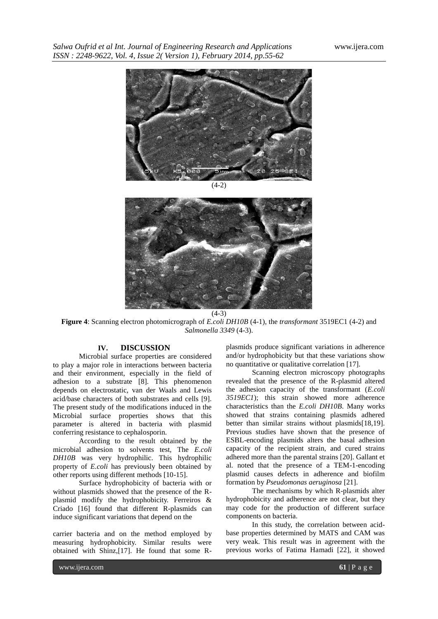

 $(4-2)$ 



**Figure 4**: Scanning electron photomicrograph of *E.coli DH10B* (4-1), the *transformant* 3519EC1 (4-2) and *Salmonella 3349* (4-3).

# **IV. DISCUSSION**

Microbial surface properties are considered to play a major role in interactions between bacteria and their environment, especially in the field of adhesion to a substrate [8]. This phenomenon depends on electrostatic, van der Waals and Lewis acid/base characters of both substrates and cells [9]. The present study of the modifications induced in the Microbial surface properties shows that this parameter is altered in bacteria with plasmid conferring resistance to cephalosporin.

According to the result obtained by the microbial adhesion to solvents test, The *E.coli DH10B* was very hydrophilic. This hydrophilic property of *E.coli* has previously been obtained by other reports using different methods [10-15].

Surface hydrophobicity of bacteria with or without plasmids showed that the presence of the Rplasmid modify the hydrophobicity. Ferreiros & Criado [16] found that different R-plasmids can induce significant variations that depend on the

carrier bacteria and on the method employed by measuring hydrophobicity. Similar results were obtained with Shinz,[17]. He found that some R-

plasmids produce significant variations in adherence and/or hydrophobicity but that these variations show no quantitative or qualitative correlation [17].

Scanning electron microscopy photographs revealed that the presence of the R-plasmid altered the adhesion capacity of the transformant (*E.coli 3519EC1*); this strain showed more adherence characteristics than the *E.coli DH10B*. Many works showed that strains containing plasmids adhered better than similar strains without plasmids[18,19]. Previous studies have shown that the presence of ESBL-encoding plasmids alters the basal adhesion capacity of the recipient strain, and cured strains adhered more than the parental strains [20]. Gallant et al. noted that the presence of a TEM-1-encoding plasmid causes defects in adherence and biofilm formation by *Pseudomonas aeruginosa* [21].

The mechanisms by which R-plasmids alter hydrophobicity and adherence are not clear, but they may code for the production of different surface components on bacteria.

In this study, the correlation between acidbase properties determined by MATS and CAM was very weak. This result was in agreement with the previous works of Fatima Hamadi [22], it showed